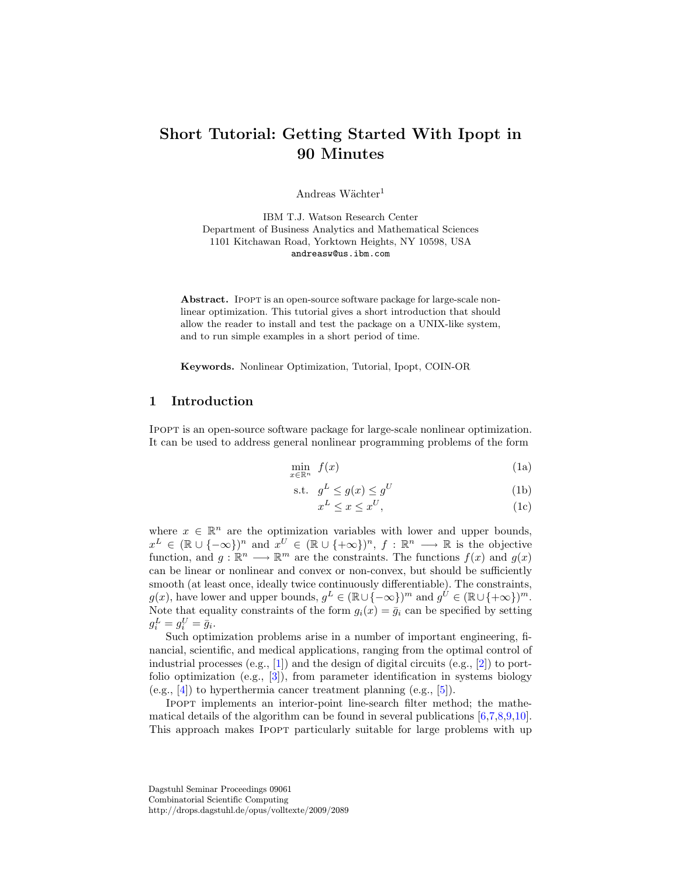# Short Tutorial: Getting Started With Ipopt in 90 Minutes

Andreas Wächter<sup>1</sup>

IBM T.J. Watson Research Center Department of Business Analytics and Mathematical Sciences 1101 Kitchawan Road, Yorktown Heights, NY 10598, USA andreasw@us.ibm.com

Abstract. IPOPT is an open-source software package for large-scale nonlinear optimization. This tutorial gives a short introduction that should allow the reader to install and test the package on a UNIX-like system, and to run simple examples in a short period of time.

Keywords. Nonlinear Optimization, Tutorial, Ipopt, COIN-OR

# 1 Introduction

Ipopt is an open-source software package for large-scale nonlinear optimization. It can be used to address general nonlinear programming problems of the form

<span id="page-0-0"></span>
$$
\min_{x \in \mathbb{R}^n} f(x) \tag{1a}
$$

$$
\text{s.t.} \quad g^L \le g(x) \le g^U \tag{1b}
$$

$$
x^L \le x \le x^U,\tag{1c}
$$

where  $x \in \mathbb{R}^n$  are the optimization variables with lower and upper bounds,  $x^L \in (\mathbb{R} \cup \{-\infty\})^n$  and  $x^U \in (\mathbb{R} \cup \{+\infty\})^n$ ,  $f : \mathbb{R}^n \longrightarrow \mathbb{R}$  is the objective function, and  $g: \mathbb{R}^n \longrightarrow \mathbb{R}^m$  are the constraints. The functions  $f(x)$  and  $g(x)$ can be linear or nonlinear and convex or non-convex, but should be sufficiently smooth (at least once, ideally twice continuously differentiable). The constraints,  $g(x)$ , have lower and upper bounds,  $g^L \in (\mathbb{R} \cup \{-\infty\})^m$  and  $g^{\dot{U}} \in (\mathbb{R} \cup \{+\infty\})^m$ . Note that equality constraints of the form  $g_i(x) = \overline{g_i}$  can be specified by setting  $g_i^L = g_i^U = \bar{g}_i.$ 

Such optimization problems arise in a number of important engineering, financial, scientific, and medical applications, ranging from the optimal control of industrial processes (e.g.,  $[1]$ ) and the design of digital circuits (e.g.,  $[2]$ ) to portfolio optimization (e.g.,  $[3]$ ), from parameter identification in systems biology (e.g., [\[4\]](#page-15-3)) to hyperthermia cancer treatment planning (e.g., [\[5\]](#page-15-4)).

Ipopt implements an interior-point line-search filter method; the mathematical details of the algorithm can be found in several publications  $[6,7,8,9,10]$  $[6,7,8,9,10]$  $[6,7,8,9,10]$  $[6,7,8,9,10]$  $[6,7,8,9,10]$ . This approach makes IPOPT particularly suitable for large problems with up

Dagstuhl Seminar Proceedings 09061 Combinatorial Scientific Computing http://drops.dagstuhl.de/opus/volltexte/2009/2089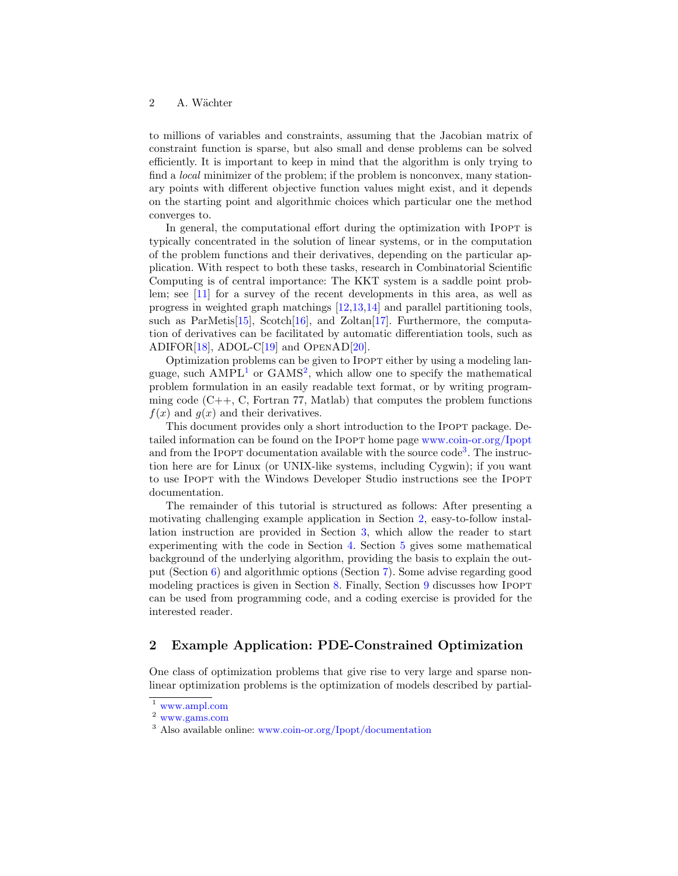to millions of variables and constraints, assuming that the Jacobian matrix of constraint function is sparse, but also small and dense problems can be solved efficiently. It is important to keep in mind that the algorithm is only trying to find a *local* minimizer of the problem; if the problem is nonconvex, many stationary points with different objective function values might exist, and it depends on the starting point and algorithmic choices which particular one the method converges to.

In general, the computational effort during the optimization with IPOPT is typically concentrated in the solution of linear systems, or in the computation of the problem functions and their derivatives, depending on the particular application. With respect to both these tasks, research in Combinatorial Scientific Computing is of central importance: The KKT system is a saddle point problem; see [\[11\]](#page-15-10) for a survey of the recent developments in this area, as well as progress in weighted graph matchings [\[12,](#page-15-11)[13](#page-15-12)[,14\]](#page-16-0) and parallel partitioning tools, such as ParMetis[\[15\]](#page-16-1), Scotch[\[16\]](#page-16-2), and Zoltan[\[17\]](#page-16-3). Furthermore, the computation of derivatives can be facilitated by automatic differentiation tools, such as ADIFOR<sup>[\[18\]](#page-16-4)</sup>, ADOL-C<sup>[\[19\]](#page-16-5)</sup> and OpenAD<sup>[\[20\]](#page-16-6)</sup>.

Optimization problems can be given to Ipopt either by using a modeling language, such  $AMPL<sup>1</sup>$  $AMPL<sup>1</sup>$  $AMPL<sup>1</sup>$  or  $GAMS<sup>2</sup>$  $GAMS<sup>2</sup>$  $GAMS<sup>2</sup>$ , which allow one to specify the mathematical problem formulation in an easily readable text format, or by writing programming code  $(C_{++}, C, Fortran 77, Matlab)$  that computes the problem functions  $f(x)$  and  $g(x)$  and their derivatives.

This document provides only a short introduction to the IPOPT package. Detailed information can be found on the Ipopt home page [www.coin-or.org/Ipopt](http://www.coin-or.org/Ipopt) and from the IPOPT documentation available with the source  $\text{code}^3$  $\text{code}^3$ . The instruction here are for Linux (or UNIX-like systems, including Cygwin); if you want to use Ipopt with the Windows Developer Studio instructions see the Ipopt documentation.

The remainder of this tutorial is structured as follows: After presenting a motivating challenging example application in Section [2,](#page-1-3) easy-to-follow installation instruction are provided in Section [3,](#page-3-0) which allow the reader to start experimenting with the code in Section [4.](#page-5-0) Section [5](#page-6-0) gives some mathematical background of the underlying algorithm, providing the basis to explain the output (Section [6\)](#page-9-0) and algorithmic options (Section [7\)](#page-10-0). Some advise regarding good modeling practices is given in Section [8.](#page-11-0) Finally, Section [9](#page-12-0) discusses how IPOPT can be used from programming code, and a coding exercise is provided for the interested reader.

# <span id="page-1-3"></span>2 Example Application: PDE-Constrained Optimization

One class of optimization problems that give rise to very large and sparse nonlinear optimization problems is the optimization of models described by partial-

<span id="page-1-0"></span><sup>1</sup> [www.ampl.com](http://www.ampl.com)

<span id="page-1-1"></span><sup>2</sup> [www.gams.com](http://www.gams.com)

<span id="page-1-2"></span><sup>3</sup> Also available online: [www.coin-or.org/Ipopt/documentation](http://www.coin-or.org/Ipopt/documentation)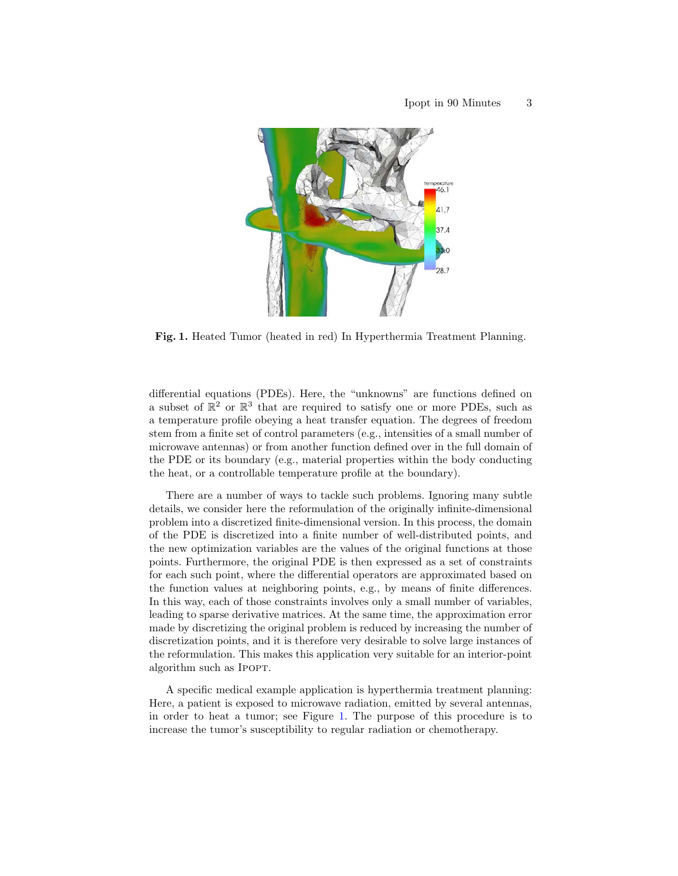

<span id="page-2-0"></span>Fig. 1. Heated Tumor (heated in red) In Hyperthermia Treatment Planning.

differential equations (PDEs). Here, the "unknowns" are functions defined on a subset of  $\mathbb{R}^2$  or  $\mathbb{R}^3$  that are required to satisfy one or more PDEs, such as a temperature profile obeying a heat transfer equation. The degrees of freedom stem from a finite set of control parameters (e.g., intensities of a small number of microwave antennas) or from another function defined over in the full domain of the PDE or its boundary (e.g., material properties within the body conducting the heat, or a controllable temperature profile at the boundary).

There are a number of ways to tackle such problems. Ignoring many subtle details, we consider here the reformulation of the originally infinite-dimensional problem into a discretized finite-dimensional version. In this process, the domain of the PDE is discretized into a finite number of well-distributed points, and the new optimization variables are the values of the original functions at those points. Furthermore, the original PDE is then expressed as a set of constraints for each such point, where the differential operators are approximated based on the function values at neighboring points, e.g., by means of finite differences. In this way, each of those constraints involves only a small number of variables, leading to sparse derivative matrices. At the same time, the approximation error made by discretizing the original problem is reduced by increasing the number of discretization points, and it is therefore very desirable to solve large instances of the reformulation. This makes this application very suitable for an interior-point algorithm such as IPOPT.

A specific medical example application is hyperthermia treatment planning: Here, a patient is exposed to microwave radiation, emitted by several antennas, in order to heat a tumor; see Figure [1.](#page-2-0) The purpose of this procedure is to increase the tumor's susceptibility to regular radiation or chemotherapy.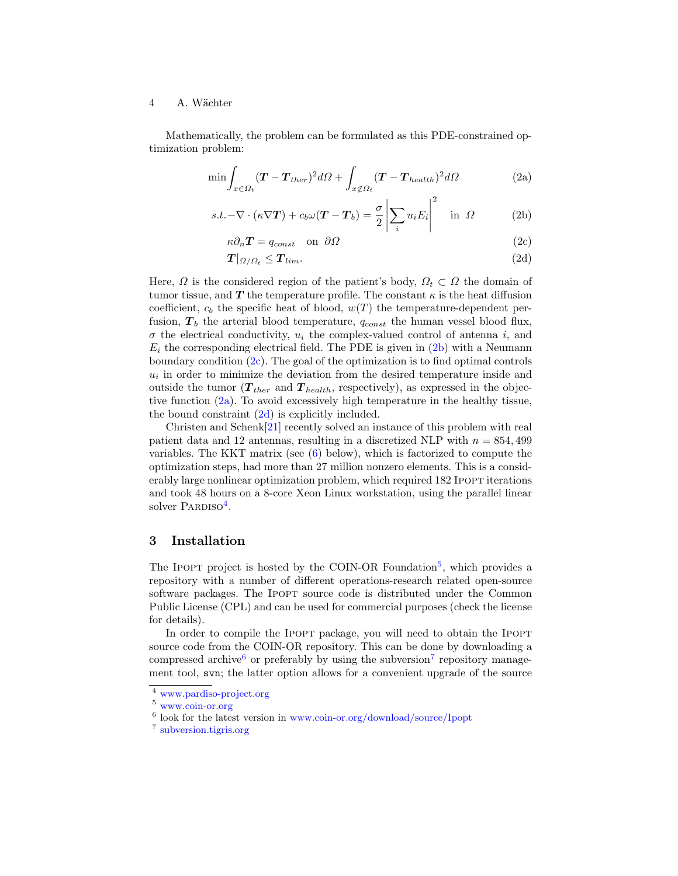Mathematically, the problem can be formulated as this PDE-constrained optimization problem:

<span id="page-3-1"></span>
$$
\min \int_{x \in \Omega_t} (\boldsymbol{T} - \boldsymbol{T}_{ther})^2 d\Omega + \int_{x \notin \Omega_t} (\boldsymbol{T} - \boldsymbol{T}_{health})^2 d\Omega \tag{2a}
$$

$$
s.t. -\nabla \cdot (\kappa \nabla \mathbf{T}) + c_b \omega (\mathbf{T} - \mathbf{T}_b) = \frac{\sigma}{2} \left| \sum_i u_i E_i \right|^2 \quad \text{in } \Omega \tag{2b}
$$

$$
\kappa \partial_n \mathbf{T} = q_{const} \quad \text{on} \quad \partial \Omega \tag{2c}
$$

$$
T|_{\Omega/\Omega_t} \le T_{lim}.\tag{2d}
$$

Here,  $\Omega$  is the considered region of the patient's body,  $\Omega_t \subset \Omega$  the domain of tumor tissue, and T the temperature profile. The constant  $\kappa$  is the heat diffusion coefficient,  $c_b$  the specific heat of blood,  $w(T)$  the temperature-dependent perfusion,  $T_b$  the arterial blood temperature,  $q_{const}$  the human vessel blood flux,  $\sigma$  the electrical conductivity,  $u_i$  the complex-valued control of antenna i, and  $E_i$  the corresponding electrical field. The PDE is given in  $(2b)$  with a Neumann boundary condition  $(2c)$ . The goal of the optimization is to find optimal controls  $u_i$  in order to minimize the deviation from the desired temperature inside and outside the tumor  $(T_{ther}$  and  $T_{health}$ , respectively), as expressed in the objective function [\(2a\)](#page-3-1). To avoid excessively high temperature in the healthy tissue, the bound constraint  $(2d)$  is explicitly included.

Christen and Schenk[\[21\]](#page-16-7) recently solved an instance of this problem with real patient data and 12 antennas, resulting in a discretized NLP with  $n = 854,499$ variables. The KKT matrix (see [\(6\)](#page-7-0) below), which is factorized to compute the optimization steps, had more than 27 million nonzero elements. This is a considerably large nonlinear optimization problem, which required 182 IPOPT iterations and took 48 hours on a 8-core Xeon Linux workstation, using the parallel linear solver PARDISO<sup>[4](#page-3-2)</sup>.

# <span id="page-3-0"></span>3 Installation

The IPOPT project is hosted by the COIN-OR Foundation<sup>[5](#page-3-3)</sup>, which provides a repository with a number of different operations-research related open-source software packages. The Ipopt source code is distributed under the Common Public License (CPL) and can be used for commercial purposes (check the license for details).

In order to compile the IPOPT package, you will need to obtain the IPOPT source code from the COIN-OR repository. This can be done by downloading a compressed archive<sup>[6](#page-3-4)</sup> or preferably by using the subversion<sup>[7](#page-3-5)</sup> repository management tool, svn; the latter option allows for a convenient upgrade of the source

<span id="page-3-2"></span><sup>4</sup> [www.pardiso-project.org](http://www.pardiso-project.org)

<span id="page-3-3"></span><sup>5</sup> [www.coin-or.org](http://www.coin-or.org)

<span id="page-3-4"></span><sup>6</sup> look for the latest version in [www.coin-or.org/download/source/Ipopt](http://www.coin-or.org/download/source/Ipopt)

<span id="page-3-5"></span><sup>7</sup> [subversion.tigris.org](http://subversion.tigris.org)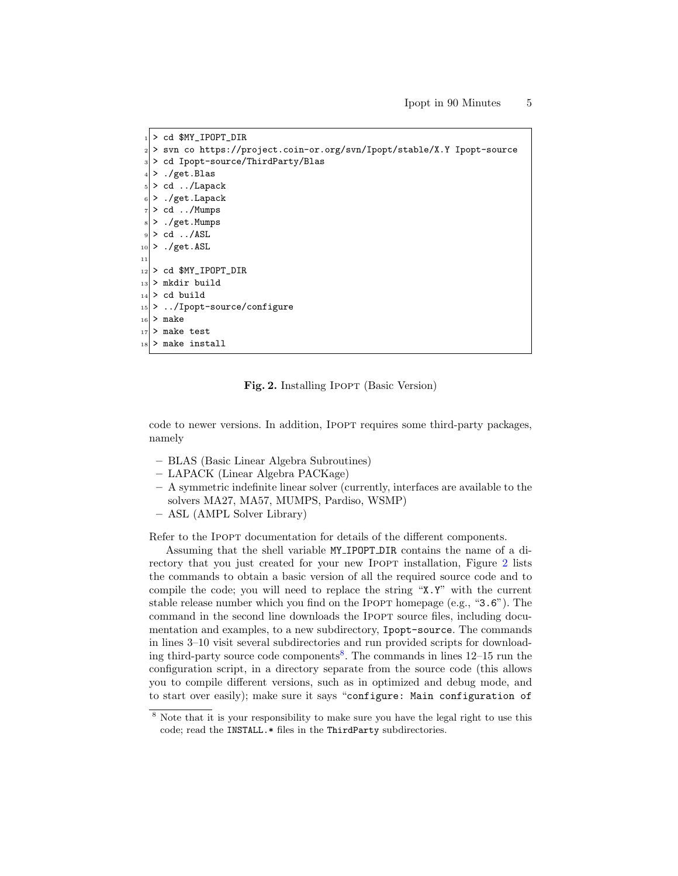```
_1 > cd $MY_IPOPT_DIR
 |2| > svn co https://project.coin-or.org/svn/Ipopt/stable/X.Y Ipopt-source
 _3 > cd Ipopt-source/ThirdParty/Blas
  4 > ./get.Blas
  5 > cd ../Lapack
  6 > ./get.Lapack
  7 > cd ../Mumps
  8 > ./get.Mumps
  > cd ../ ASL
_{10} > ./get.ASL
11
|12| > c d $MY_IPOPT_DIR
_{13} > mkdir build
_{14} > cd build
15 > ../Ipopt-source/configure
_{16} > make
17 > make test
|18| > make install
```
<span id="page-4-0"></span>Fig. 2. Installing Ipopt (Basic Version)

code to newer versions. In addition, Ipopt requires some third-party packages, namely

- BLAS (Basic Linear Algebra Subroutines)
- LAPACK (Linear Algebra PACKage)
- A symmetric indefinite linear solver (currently, interfaces are available to the solvers MA27, MA57, MUMPS, Pardiso, WSMP)
- ASL (AMPL Solver Library)

Refer to the Ipopt documentation for details of the different components.

Assuming that the shell variable MY IPOPT DIR contains the name of a di-rectory that you just created for your new IPOPT installation, Figure [2](#page-4-0) lists the commands to obtain a basic version of all the required source code and to compile the code; you will need to replace the string "X.Y" with the current stable release number which you find on the IPOPT homepage (e.g., "3.6"). The command in the second line downloads the IPOPT source files, including documentation and examples, to a new subdirectory, Ipopt-source. The commands in lines 3–10 visit several subdirectories and run provided scripts for download-ing third-party source code components<sup>[8](#page-4-1)</sup>. The commands in lines 12–15 run the configuration script, in a directory separate from the source code (this allows you to compile different versions, such as in optimized and debug mode, and to start over easily); make sure it says "configure: Main configuration of

<span id="page-4-1"></span><sup>8</sup> Note that it is your responsibility to make sure you have the legal right to use this code; read the INSTALL.\* files in the ThirdParty subdirectories.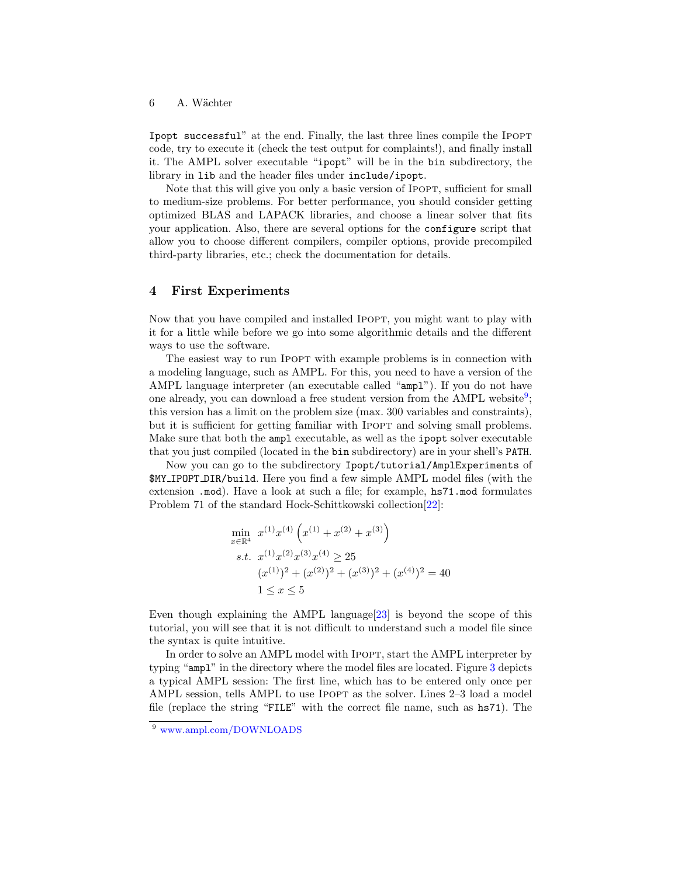Ipopt successful" at the end. Finally, the last three lines compile the Ipopt code, try to execute it (check the test output for complaints!), and finally install it. The AMPL solver executable "ipopt" will be in the bin subdirectory, the library in lib and the header files under include/ipopt.

Note that this will give you only a basic version of IPOPT, sufficient for small to medium-size problems. For better performance, you should consider getting optimized BLAS and LAPACK libraries, and choose a linear solver that fits your application. Also, there are several options for the configure script that allow you to choose different compilers, compiler options, provide precompiled third-party libraries, etc.; check the documentation for details.

# <span id="page-5-0"></span>4 First Experiments

Now that you have compiled and installed Ipopt, you might want to play with it for a little while before we go into some algorithmic details and the different ways to use the software.

The easiest way to run Ipopt with example problems is in connection with a modeling language, such as AMPL. For this, you need to have a version of the AMPL language interpreter (an executable called "ampl"). If you do not have one already, you can download a free student version from the AMPL website<sup>[9](#page-5-1)</sup>; this version has a limit on the problem size (max. 300 variables and constraints), but it is sufficient for getting familiar with IPOPT and solving small problems. Make sure that both the ampl executable, as well as the ipopt solver executable that you just compiled (located in the bin subdirectory) are in your shell's PATH.

Now you can go to the subdirectory Ipopt/tutorial/AmplExperiments of \$MY IPOPT DIR/build. Here you find a few simple AMPL model files (with the extension .mod). Have a look at such a file; for example, hs71.mod formulates Problem 71 of the standard Hock-Schittkowski collection[\[22\]](#page-16-8):

$$
\min_{x \in \mathbb{R}^4} x^{(1)} x^{(4)} \left( x^{(1)} + x^{(2)} + x^{(3)} \right)
$$
\n*s.t.* 
$$
x^{(1)} x^{(2)} x^{(3)} x^{(4)} \ge 25
$$
\n
$$
(x^{(1)})^2 + (x^{(2)})^2 + (x^{(3)})^2 + (x^{(4)})^2 = 40
$$
\n
$$
1 \le x \le 5
$$

Even though explaining the AMPL language $[23]$  is beyond the scope of this tutorial, you will see that it is not difficult to understand such a model file since the syntax is quite intuitive.

In order to solve an AMPL model with Ipopt, start the AMPL interpreter by typing "ampl" in the directory where the model files are located. Figure [3](#page-6-1) depicts a typical AMPL session: The first line, which has to be entered only once per AMPL session, tells AMPL to use IPOPT as the solver. Lines 2–3 load a model file (replace the string "FILE" with the correct file name, such as hs71). The

<span id="page-5-1"></span><sup>9</sup> [www.ampl.com/DOWNLOADS](http://www.ampl.com/DOWNLOADS)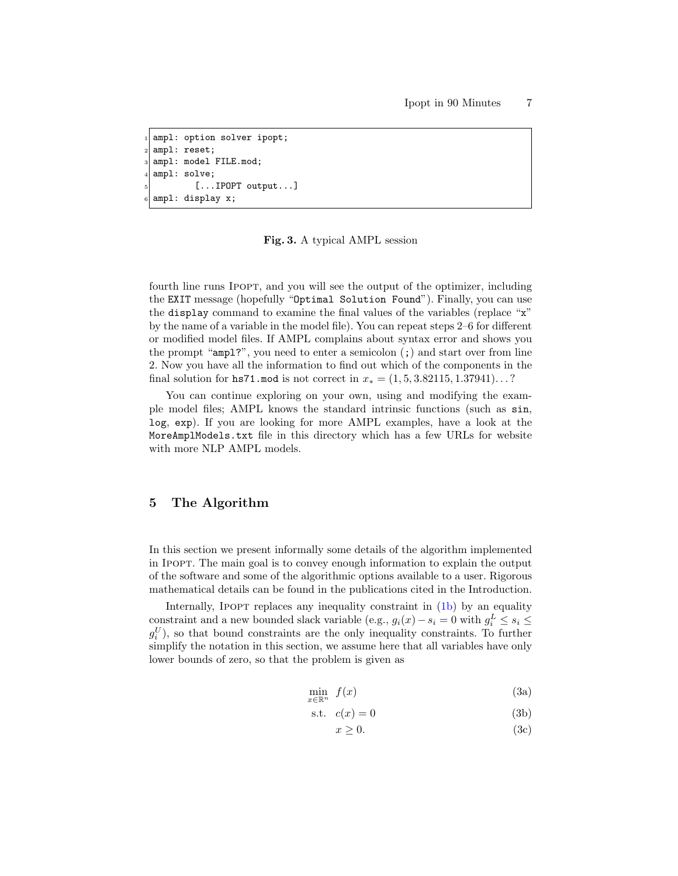```
ampl: option solver ipopt;
ampl: reset;
ampl: model FILE.mod;
ampl: solve;
        [...IPOPT output...]
ampl: display x;
```
#### <span id="page-6-1"></span>Fig. 3. A typical AMPL session

fourth line runs IPOPT, and you will see the output of the optimizer, including the EXIT message (hopefully "Optimal Solution Found"). Finally, you can use the display command to examine the final values of the variables (replace "x" by the name of a variable in the model file). You can repeat steps 2–6 for different or modified model files. If AMPL complains about syntax error and shows you the prompt "ampl?", you need to enter a semicolon (;) and start over from line 2. Now you have all the information to find out which of the components in the final solution for hs71.mod is not correct in  $x_* = (1, 5, 3.82115, 1.37941) \dots$ ?

You can continue exploring on your own, using and modifying the example model files; AMPL knows the standard intrinsic functions (such as sin, log, exp). If you are looking for more AMPL examples, have a look at the MoreAmplModels.txt file in this directory which has a few URLs for website with more NLP AMPL models.

# <span id="page-6-0"></span>5 The Algorithm

In this section we present informally some details of the algorithm implemented in Ipopt. The main goal is to convey enough information to explain the output of the software and some of the algorithmic options available to a user. Rigorous mathematical details can be found in the publications cited in the Introduction.

Internally, IPOPT replaces any inequality constraint in  $(1b)$  by an equality constraint and a new bounded slack variable (e.g.,  $g_i(x) - s_i = 0$  with  $g_i^L \leq s_i \leq$  $g_i^U$ ), so that bound constraints are the only inequality constraints. To further simplify the notation in this section, we assume here that all variables have only lower bounds of zero, so that the problem is given as

<span id="page-6-2"></span>
$$
\min_{x \in \mathbb{R}^n} f(x) \tag{3a}
$$

$$
s.t. \quad c(x) = 0 \tag{3b}
$$

<span id="page-6-3"></span>
$$
x \ge 0. \tag{3c}
$$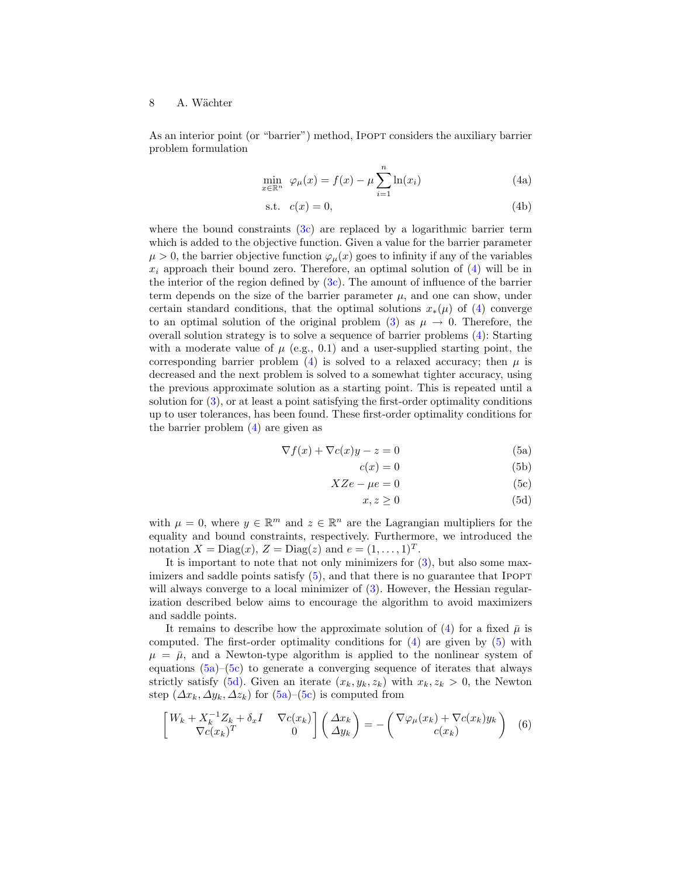As an interior point (or "barrier") method, IPOPT considers the auxiliary barrier problem formulation

<span id="page-7-1"></span>
$$
\min_{x \in \mathbb{R}^n} \varphi_\mu(x) = f(x) - \mu \sum_{i=1}^n \ln(x_i) \tag{4a}
$$

$$
s.t. \quad c(x) = 0,\tag{4b}
$$

where the bound constraints  $(3c)$  are replaced by a logarithmic barrier term which is added to the objective function. Given a value for the barrier parameter  $\mu > 0$ , the barrier objective function  $\varphi_{\mu}(x)$  goes to infinity if any of the variables  $x_i$  approach their bound zero. Therefore, an optimal solution of  $(4)$  will be in the interior of the region defined by  $(3c)$ . The amount of influence of the barrier term depends on the size of the barrier parameter  $\mu$ , and one can show, under certain standard conditions, that the optimal solutions  $x_*(\mu)$  of [\(4\)](#page-7-1) converge to an optimal solution of the original problem [\(3\)](#page-6-3) as  $\mu \to 0$ . Therefore, the overall solution strategy is to solve a sequence of barrier problems [\(4\)](#page-7-1): Starting with a moderate value of  $\mu$  (e.g., 0.1) and a user-supplied starting point, the corresponding barrier problem [\(4\)](#page-7-1) is solved to a relaxed accuracy; then  $\mu$  is decreased and the next problem is solved to a somewhat tighter accuracy, using the previous approximate solution as a starting point. This is repeated until a solution for [\(3\)](#page-6-3), or at least a point satisfying the first-order optimality conditions up to user tolerances, has been found. These first-order optimality conditions for the barrier problem [\(4\)](#page-7-1) are given as

<span id="page-7-3"></span>
$$
\nabla f(x) + \nabla c(x)y - z = 0 \tag{5a}
$$

<span id="page-7-2"></span>
$$
c(x) = 0 \tag{5b}
$$

$$
XZe - \mu e = 0 \tag{5c}
$$

$$
x, z \ge 0 \tag{5d}
$$

with  $\mu = 0$ , where  $y \in \mathbb{R}^m$  and  $z \in \mathbb{R}^n$  are the Lagrangian multipliers for the equality and bound constraints, respectively. Furthermore, we introduced the notation  $X = \text{Diag}(x)$ ,  $Z = \text{Diag}(z)$  and  $e = (1, \ldots, 1)^T$ .

It is important to note that not only minimizers for  $(3)$ , but also some maximizers and saddle points satisfy  $(5)$ , and that there is no guarantee that IPOPT will always converge to a local minimizer of  $(3)$ . However, the Hessian regularization described below aims to encourage the algorithm to avoid maximizers and saddle points.

It remains to describe how the approximate solution of [\(4\)](#page-7-1) for a fixed  $\bar{\mu}$  is computed. The first-order optimality conditions for  $(4)$  are given by  $(5)$  with  $\mu = \bar{\mu}$ , and a Newton-type algorithm is applied to the nonlinear system of equations  $(5a)$ – $(5c)$  to generate a converging sequence of iterates that always strictly satisfy [\(5d\)](#page-7-3). Given an iterate  $(x_k, y_k, z_k)$  with  $x_k, z_k > 0$ , the Newton step  $(\Delta x_k, \Delta y_k, \Delta z_k)$  for  $(5a)$ – $(5c)$  is computed from

<span id="page-7-0"></span>
$$
\begin{bmatrix} W_k + X_k^{-1} Z_k + \delta_x I & \nabla c(x_k) \\ \nabla c(x_k)^T & 0 \end{bmatrix} \begin{pmatrix} \Delta x_k \\ \Delta y_k \end{pmatrix} = - \begin{pmatrix} \nabla \varphi_\mu(x_k) + \nabla c(x_k) y_k \\ c(x_k) \end{pmatrix} \tag{6}
$$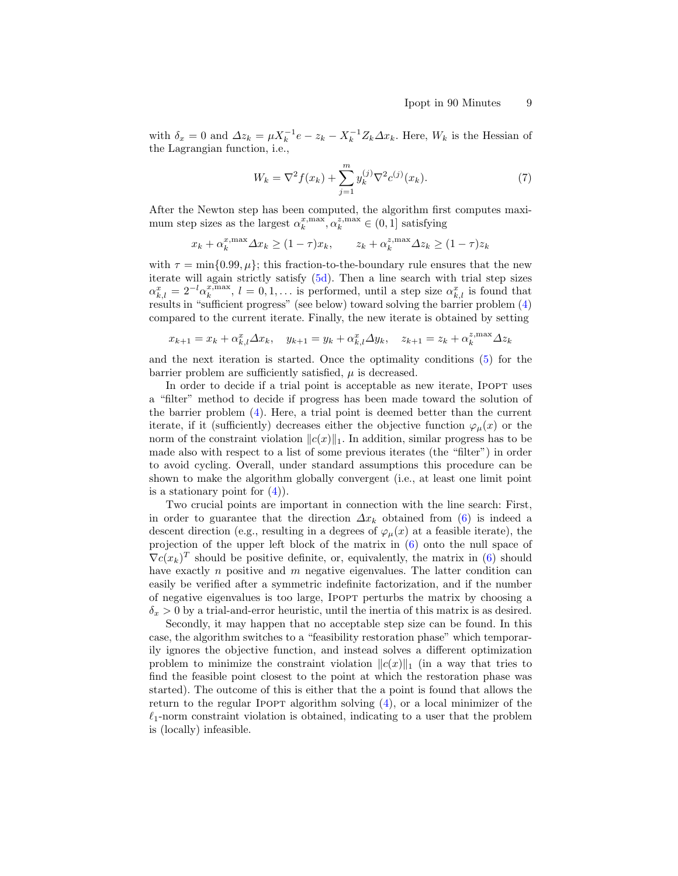with  $\delta_x = 0$  and  $\Delta z_k = \mu X_k^{-1} e - z_k - X_k^{-1} Z_k \Delta x_k$ . Here,  $W_k$  is the Hessian of the Lagrangian function, i.e.,

<span id="page-8-0"></span>
$$
W_k = \nabla^2 f(x_k) + \sum_{j=1}^m y_k^{(j)} \nabla^2 c^{(j)}(x_k). \tag{7}
$$

After the Newton step has been computed, the algorithm first computes maximum step sizes as the largest  $\alpha_k^{x,\max}, \alpha_k^{z,\max} \in (0,1]$  satisfying

$$
x_k + \alpha_k^{x,\max} \Delta x_k \ge (1 - \tau)x_k, \qquad z_k + \alpha_k^{z,\max} \Delta z_k \ge (1 - \tau)z_k
$$

with  $\tau = \min\{0.99, \mu\}$ ; this fraction-to-the-boundary rule ensures that the new iterate will again strictly satisfy [\(5d\)](#page-7-3). Then a line search with trial step sizes  $\alpha_{k,l}^x = 2^{-l} \alpha_k^{x,\max}, l = 0, 1, \dots$  is performed, until a step size  $\alpha_{k,l}^x$  is found that results in "sufficient progress" (see below) toward solving the barrier problem [\(4\)](#page-7-1) compared to the current iterate. Finally, the new iterate is obtained by setting

$$
x_{k+1} = x_k + \alpha_{k,l}^x \Delta x_k, \quad y_{k+1} = y_k + \alpha_{k,l}^x \Delta y_k, \quad z_{k+1} = z_k + \alpha_k^{z, \max} \Delta z_k
$$

and the next iteration is started. Once the optimality conditions [\(5\)](#page-7-2) for the barrier problem are sufficiently satisfied,  $\mu$  is decreased.

In order to decide if a trial point is acceptable as new iterate, IPOPT uses a "filter" method to decide if progress has been made toward the solution of the barrier problem [\(4\)](#page-7-1). Here, a trial point is deemed better than the current iterate, if it (sufficiently) decreases either the objective function  $\varphi_\mu(x)$  or the norm of the constraint violation  $||c(x)||_1$ . In addition, similar progress has to be made also with respect to a list of some previous iterates (the "filter") in order to avoid cycling. Overall, under standard assumptions this procedure can be shown to make the algorithm globally convergent (i.e., at least one limit point is a stationary point for  $(4)$ ).

Two crucial points are important in connection with the line search: First, in order to guarantee that the direction  $\Delta x_k$  obtained from [\(6\)](#page-7-0) is indeed a descent direction (e.g., resulting in a degrees of  $\varphi_\mu(x)$  at a feasible iterate), the projection of the upper left block of the matrix in [\(6\)](#page-7-0) onto the null space of  $\nabla c(x_k)^T$  should be positive definite, or, equivalently, the matrix in [\(6\)](#page-7-0) should have exactly  $n$  positive and  $m$  negative eigenvalues. The latter condition can easily be verified after a symmetric indefinite factorization, and if the number of negative eigenvalues is too large, Ipopt perturbs the matrix by choosing a  $\delta_x > 0$  by a trial-and-error heuristic, until the inertia of this matrix is as desired.

Secondly, it may happen that no acceptable step size can be found. In this case, the algorithm switches to a "feasibility restoration phase" which temporarily ignores the objective function, and instead solves a different optimization problem to minimize the constraint violation  $||c(x)||_1$  (in a way that tries to find the feasible point closest to the point at which the restoration phase was started). The outcome of this is either that the a point is found that allows the return to the regular IPOPT algorithm solving  $(4)$ , or a local minimizer of the  $\ell_1$ -norm constraint violation is obtained, indicating to a user that the problem is (locally) infeasible.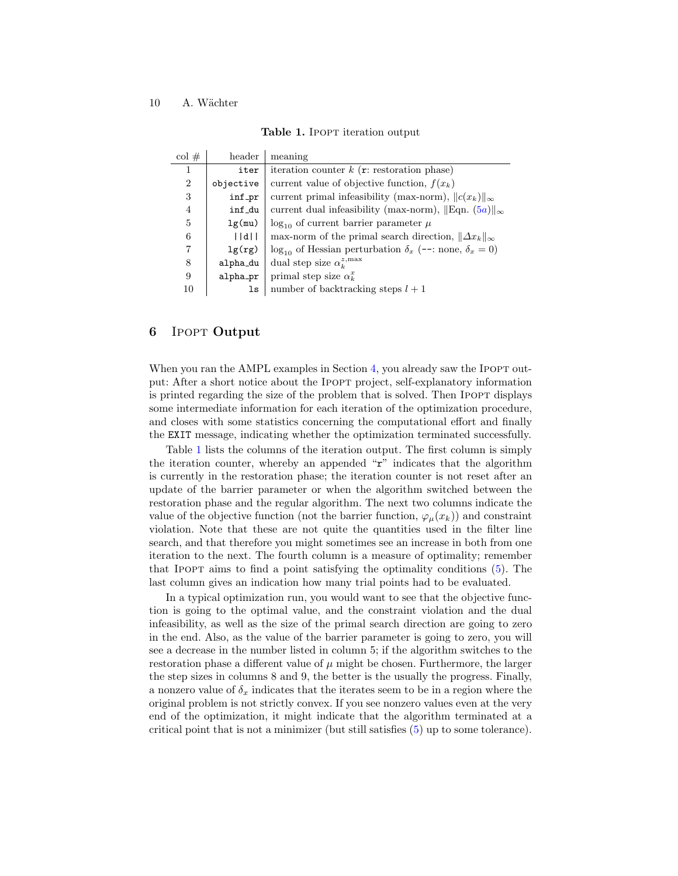<span id="page-9-1"></span>

| Table 1. IPOPT iteration output |  |
|---------------------------------|--|
|---------------------------------|--|

| $\mathrm{col}$ # | header    | meaning                                                                    |
|------------------|-----------|----------------------------------------------------------------------------|
| 1                | iter      | iteration counter $k$ ( <b>r</b> : restoration phase)                      |
| $\overline{2}$   | objective | current value of objective function, $f(x_k)$                              |
| 3                | inf_pr    | current primal infeasibility (max-norm), $  c(x_k)  _{\infty}$             |
| 4                | inf_du    | current dual infeasibility (max-norm), $\ \text{Eqn. } (5a)\ _{\infty}$    |
| 5                | lg(mu)    | $\log_{10}$ of current barrier parameter $\mu$                             |
| 6                | d         | max-norm of the primal search direction, $\ \Delta x_k\ _{\infty}$         |
| 7                | lg(rg)    | $\log_{10}$ of Hessian perturbation $\delta_x$ (--: none, $\delta_x = 0$ ) |
| 8                | alpha_du  | dual step size $\alpha_k^{z,\max}$                                         |
| 9                | alpha_pr  | primal step size $\alpha_k^x$                                              |
| 10               | ls        | number of backtracking steps $l + 1$                                       |

#### <span id="page-9-0"></span>6 Ipopt Output

When you ran the AMPL examples in Section [4,](#page-5-0) you already saw the IPOPT output: After a short notice about the Ipopt project, self-explanatory information is printed regarding the size of the problem that is solved. Then IPOPT displays some intermediate information for each iteration of the optimization procedure, and closes with some statistics concerning the computational effort and finally the EXIT message, indicating whether the optimization terminated successfully.

Table [1](#page-9-1) lists the columns of the iteration output. The first column is simply the iteration counter, whereby an appended "r" indicates that the algorithm is currently in the restoration phase; the iteration counter is not reset after an update of the barrier parameter or when the algorithm switched between the restoration phase and the regular algorithm. The next two columns indicate the value of the objective function (not the barrier function,  $\varphi_\mu(x_k)$ ) and constraint violation. Note that these are not quite the quantities used in the filter line search, and that therefore you might sometimes see an increase in both from one iteration to the next. The fourth column is a measure of optimality; remember that Ipopt aims to find a point satisfying the optimality conditions [\(5\)](#page-7-2). The last column gives an indication how many trial points had to be evaluated.

In a typical optimization run, you would want to see that the objective function is going to the optimal value, and the constraint violation and the dual infeasibility, as well as the size of the primal search direction are going to zero in the end. Also, as the value of the barrier parameter is going to zero, you will see a decrease in the number listed in column 5; if the algorithm switches to the restoration phase a different value of  $\mu$  might be chosen. Furthermore, the larger the step sizes in columns 8 and 9, the better is the usually the progress. Finally, a nonzero value of  $\delta_x$  indicates that the iterates seem to be in a region where the original problem is not strictly convex. If you see nonzero values even at the very end of the optimization, it might indicate that the algorithm terminated at a critical point that is not a minimizer (but still satisfies [\(5\)](#page-7-2) up to some tolerance).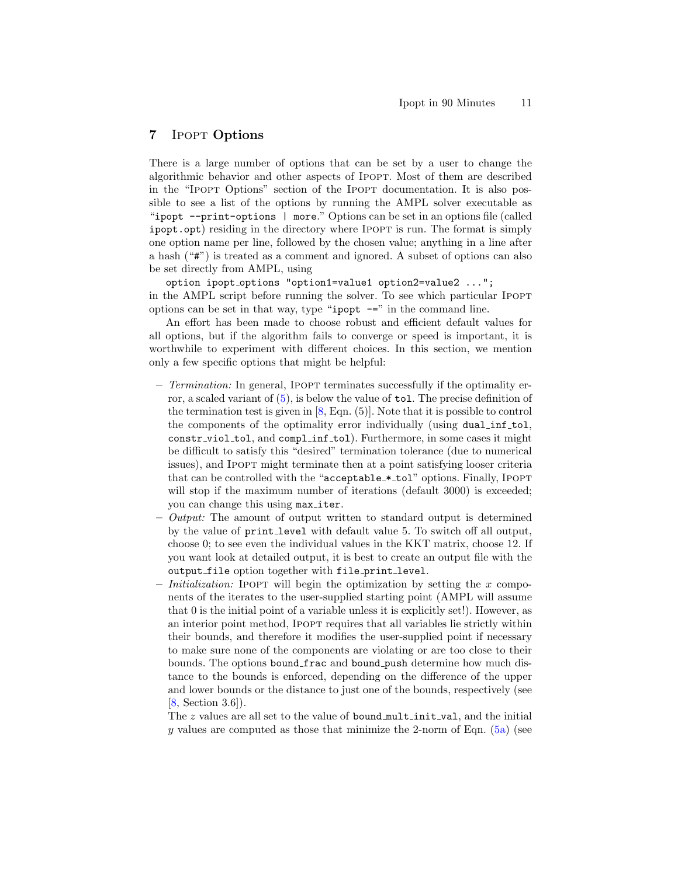# <span id="page-10-0"></span>7 Ipopt Options

There is a large number of options that can be set by a user to change the algorithmic behavior and other aspects of Ipopt. Most of them are described in the "Ipopt Options" section of the Ipopt documentation. It is also possible to see a list of the options by running the AMPL solver executable as "ipopt --print-options | more." Options can be set in an options file (called ipopt.opt) residing in the directory where Ipopt is run. The format is simply one option name per line, followed by the chosen value; anything in a line after a hash ("#") is treated as a comment and ignored. A subset of options can also be set directly from AMPL, using

option ipopt options "option1=value1 option2=value2 ..."; in the AMPL script before running the solver. To see which particular IPOPT options can be set in that way, type "ipopt  $-$ =" in the command line.

An effort has been made to choose robust and efficient default values for all options, but if the algorithm fails to converge or speed is important, it is worthwhile to experiment with different choices. In this section, we mention only a few specific options that might be helpful:

- Termination: In general, Ipopt terminates successfully if the optimality error, a scaled variant of  $(5)$ , is below the value of tol. The precise definition of the termination test is given in [\[8,](#page-15-7) Eqn. (5)]. Note that it is possible to control the components of the optimality error individually (using dual inf tol, constr viol tol, and compl inf tol). Furthermore, in some cases it might be difficult to satisfy this "desired" termination tolerance (due to numerical issues), and Ipopt might terminate then at a point satisfying looser criteria that can be controlled with the "acceptable \* tol" options. Finally, Ipopt will stop if the maximum number of iterations (default 3000) is exceeded; you can change this using max\_iter.
- $-$  *Output:* The amount of output written to standard output is determined by the value of print level with default value 5. To switch off all output, choose 0; to see even the individual values in the KKT matrix, choose 12. If you want look at detailed output, it is best to create an output file with the output file option together with file print level.
- Initialization: IPOPT will begin the optimization by setting the x components of the iterates to the user-supplied starting point (AMPL will assume that 0 is the initial point of a variable unless it is explicitly set!). However, as an interior point method, Ipopt requires that all variables lie strictly within their bounds, and therefore it modifies the user-supplied point if necessary to make sure none of the components are violating or are too close to their bounds. The options bound frac and bound push determine how much distance to the bounds is enforced, depending on the difference of the upper and lower bounds or the distance to just one of the bounds, respectively (see [\[8,](#page-15-7) Section 3.6]).

The z values are all set to the value of bound multinit val, and the initial y values are computed as those that minimize the 2-norm of Eqn.  $(5a)$  (see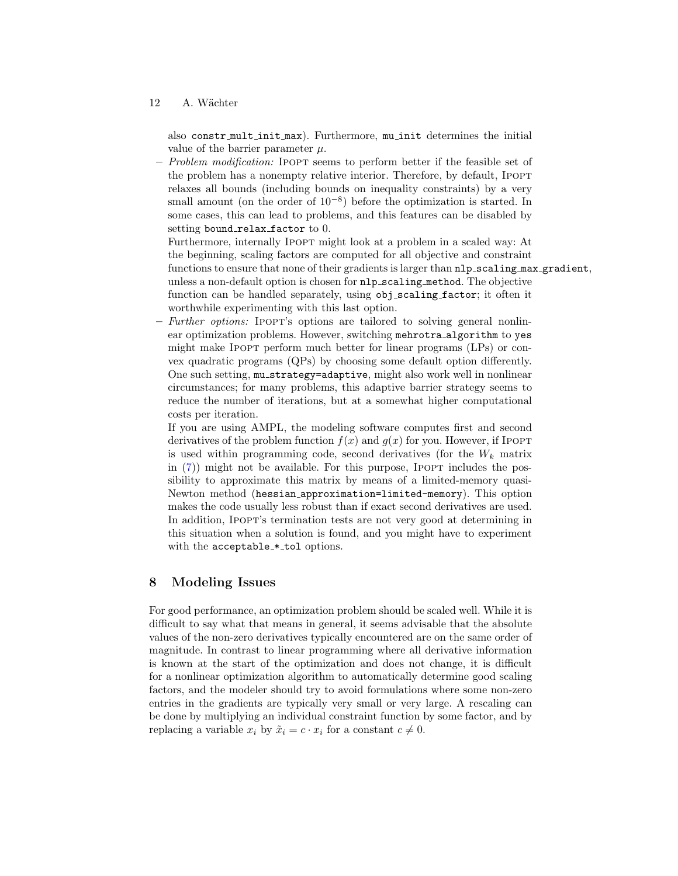also constr mult init max). Furthermore, mu init determines the initial value of the barrier parameter  $\mu$ .

Problem modification: IPOPT seems to perform better if the feasible set of the problem has a nonempty relative interior. Therefore, by default, IPOPT relaxes all bounds (including bounds on inequality constraints) by a very small amount (on the order of  $10^{-8}$ ) before the optimization is started. In some cases, this can lead to problems, and this features can be disabled by setting bound\_relax\_factor to 0.

Furthermore, internally Ipopt might look at a problem in a scaled way: At the beginning, scaling factors are computed for all objective and constraint functions to ensure that none of their gradients is larger than  $nlp\_scaling\_max\_gradient$ , unless a non-default option is chosen for nlp scaling method. The objective function can be handled separately, using obj scaling factor; it often it worthwhile experimenting with this last option.

Further options: IPOPT's options are tailored to solving general nonlinear optimization problems. However, switching mehrotra algorithm to yes might make IPOPT perform much better for linear programs (LPs) or convex quadratic programs (QPs) by choosing some default option differently. One such setting, mu strategy=adaptive, might also work well in nonlinear circumstances; for many problems, this adaptive barrier strategy seems to reduce the number of iterations, but at a somewhat higher computational costs per iteration.

If you are using AMPL, the modeling software computes first and second derivatives of the problem function  $f(x)$  and  $g(x)$  for you. However, if IPOPT is used within programming code, second derivatives (for the  $W_k$  matrix in  $(7)$ ) might not be available. For this purpose, IPOPT includes the possibility to approximate this matrix by means of a limited-memory quasi-Newton method (hessian approximation=limited-memory). This option makes the code usually less robust than if exact second derivatives are used. In addition, Ipopt's termination tests are not very good at determining in this situation when a solution is found, and you might have to experiment with the acceptable\_\*\_tol options.

## <span id="page-11-0"></span>8 Modeling Issues

For good performance, an optimization problem should be scaled well. While it is difficult to say what that means in general, it seems advisable that the absolute values of the non-zero derivatives typically encountered are on the same order of magnitude. In contrast to linear programming where all derivative information is known at the start of the optimization and does not change, it is difficult for a nonlinear optimization algorithm to automatically determine good scaling factors, and the modeler should try to avoid formulations where some non-zero entries in the gradients are typically very small or very large. A rescaling can be done by multiplying an individual constraint function by some factor, and by replacing a variable  $x_i$  by  $\tilde{x}_i = c \cdot x_i$  for a constant  $c \neq 0$ .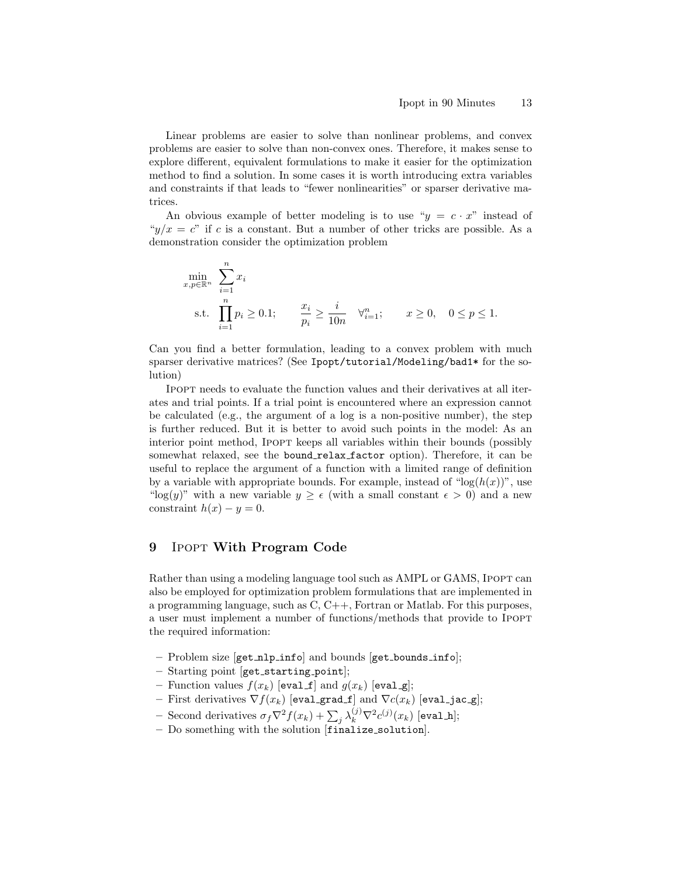Linear problems are easier to solve than nonlinear problems, and convex problems are easier to solve than non-convex ones. Therefore, it makes sense to explore different, equivalent formulations to make it easier for the optimization method to find a solution. In some cases it is worth introducing extra variables and constraints if that leads to "fewer nonlinearities" or sparser derivative matrices.

An obvious example of better modeling is to use " $y = c \cdot x$ " instead of " $y/x = c$ " if c is a constant. But a number of other tricks are possible. As a demonstration consider the optimization problem

$$
\min_{x, p \in \mathbb{R}^n} \sum_{i=1}^n x_i
$$
\n
$$
\text{s.t. } \prod_{i=1}^n p_i \ge 0.1; \qquad \frac{x_i}{p_i} \ge \frac{i}{10n} \quad \forall_{i=1}^n; \qquad x \ge 0, \quad 0 \le p \le 1.
$$

Can you find a better formulation, leading to a convex problem with much sparser derivative matrices? (See Ipopt/tutorial/Modeling/bad1\* for the solution)

Ipopt needs to evaluate the function values and their derivatives at all iterates and trial points. If a trial point is encountered where an expression cannot be calculated (e.g., the argument of a log is a non-positive number), the step is further reduced. But it is better to avoid such points in the model: As an interior point method, IPOPT keeps all variables within their bounds (possibly somewhat relaxed, see the bound relax factor option). Therefore, it can be useful to replace the argument of a function with a limited range of definition by a variable with appropriate bounds. For example, instead of " $log(h(x))$ ", use "log(y)" with a new variable  $y \geq \epsilon$  (with a small constant  $\epsilon > 0$ ) and a new constraint  $h(x) - y = 0$ .

## <span id="page-12-0"></span>9 Ipopt With Program Code

Rather than using a modeling language tool such as AMPL or GAMS, IPOPT can also be employed for optimization problem formulations that are implemented in a programming language, such as C, C++, Fortran or Matlab. For this purposes, a user must implement a number of functions/methods that provide to Ipopt the required information:

- Problem size [get nlp info] and bounds [get bounds info];
- $-$  Starting point [get\_starting\_point];
- Function values  $f(x_k)$  [eval f] and  $g(x_k)$  [eval g];
- First derivatives  $\nabla f(x_k)$  [eval\_grad\_f] and  $\nabla c(x_k)$  [eval\_jac\_g];
- Second derivatives  $\sigma_f \nabla^2 f(x_k) + \sum_j \lambda_k^{(j)} \nabla^2 c^{(j)}(x_k)$  [eval\_h];
- Do something with the solution [finalize solution].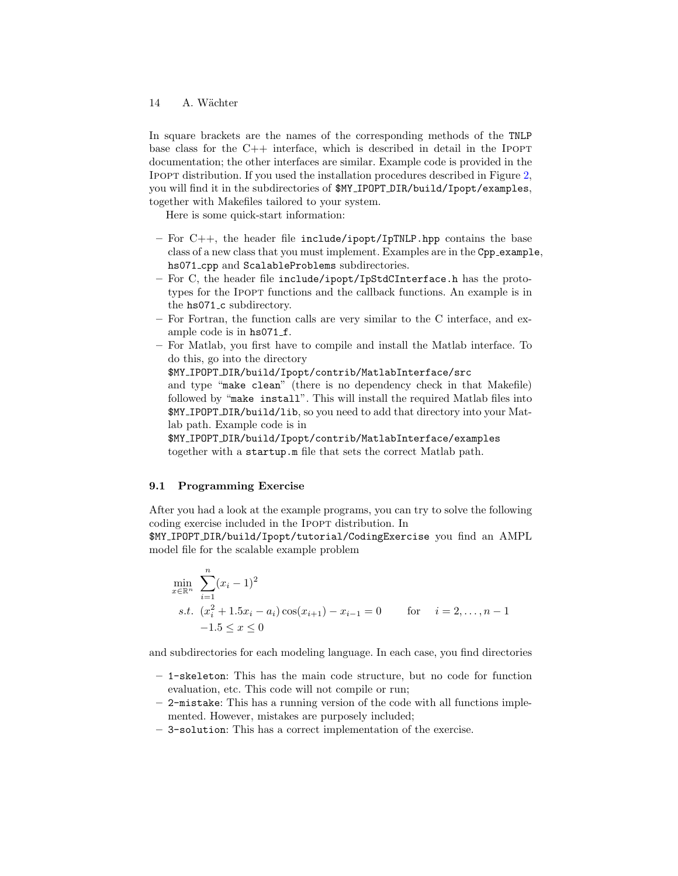In square brackets are the names of the corresponding methods of the TNLP base class for the  $C++$  interface, which is described in detail in the IPOPT documentation; the other interfaces are similar. Example code is provided in the Ipopt distribution. If you used the installation procedures described in Figure [2,](#page-4-0) you will find it in the subdirectories of \$MY IPOPT DIR/build/Ipopt/examples, together with Makefiles tailored to your system.

Here is some quick-start information:

- For  $C_{++}$ , the header file include/ipopt/IpTNLP.hpp contains the base class of a new class that you must implement. Examples are in the Cpp example, hs071 cpp and ScalableProblems subdirectories.
- For C, the header file include/ipopt/IpStdCInterface.h has the prototypes for the IPOPT functions and the callback functions. An example is in the hs071<sub>-c</sub> subdirectory.
- For Fortran, the function calls are very similar to the C interface, and example code is in hs071\_f.
- For Matlab, you first have to compile and install the Matlab interface. To do this, go into the directory

\$MY IPOPT DIR/build/Ipopt/contrib/MatlabInterface/src

and type "make clean" (there is no dependency check in that Makefile) followed by "make install". This will install the required Matlab files into \$MY IPOPT DIR/build/lib, so you need to add that directory into your Matlab path. Example code is in

\$MY IPOPT DIR/build/Ipopt/contrib/MatlabInterface/examples together with a startup.m file that sets the correct Matlab path.

#### 9.1 Programming Exercise

After you had a look at the example programs, you can try to solve the following coding exercise included in the IPOPT distribution. In

\$MY IPOPT DIR/build/Ipopt/tutorial/CodingExercise you find an AMPL model file for the scalable example problem

$$
\min_{x \in \mathbb{R}^n} \sum_{i=1}^n (x_i - 1)^2
$$
\n*s.t.*  $(x_i^2 + 1.5x_i - a_i) \cos(x_{i+1}) - x_{i-1} = 0$  for  $i = 2, ..., n-1$   
\n $-1.5 \le x \le 0$ 

and subdirectories for each modeling language. In each case, you find directories

- 1-skeleton: This has the main code structure, but no code for function evaluation, etc. This code will not compile or run;
- 2-mistake: This has a running version of the code with all functions implemented. However, mistakes are purposely included;
- 3-solution: This has a correct implementation of the exercise.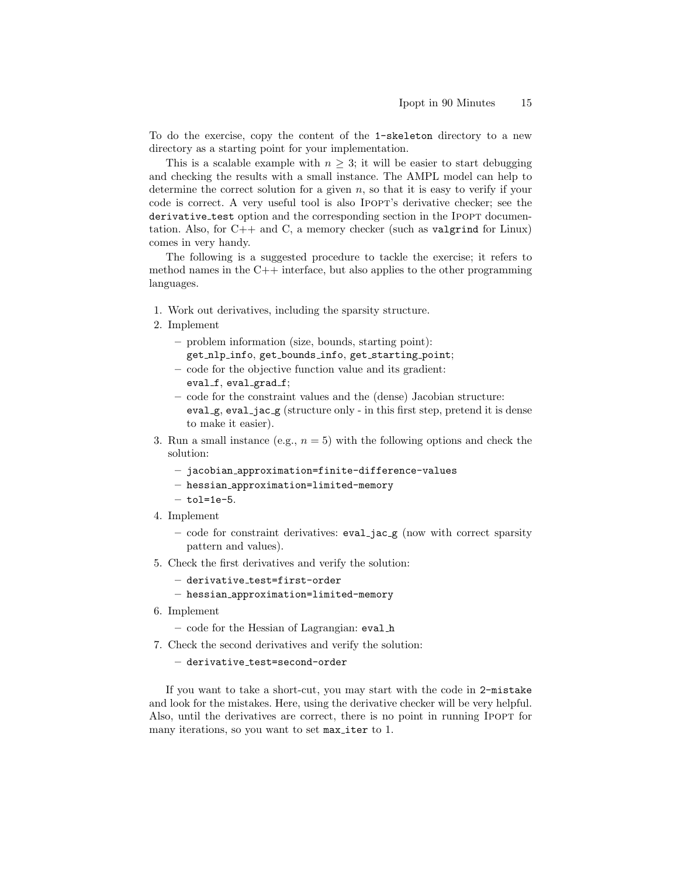To do the exercise, copy the content of the 1-skeleton directory to a new directory as a starting point for your implementation.

This is a scalable example with  $n \geq 3$ ; it will be easier to start debugging and checking the results with a small instance. The AMPL model can help to determine the correct solution for a given  $n$ , so that it is easy to verify if your code is correct. A very useful tool is also Ipopt's derivative checker; see the derivative test option and the corresponding section in the IPOPT documentation. Also, for  $C++$  and  $C$ , a memory checker (such as valgrind for Linux) comes in very handy.

The following is a suggested procedure to tackle the exercise; it refers to method names in the  $C_{++}$  interface, but also applies to the other programming languages.

- 1. Work out derivatives, including the sparsity structure.
- 2. Implement
	- problem information (size, bounds, starting point): get nlp info, get bounds info, get starting point;
	- code for the objective function value and its gradient: eval f, eval grad f;
	- code for the constraint values and the (dense) Jacobian structure: eval g, eval jac g (structure only - in this first step, pretend it is dense to make it easier).
- 3. Run a small instance (e.g.,  $n = 5$ ) with the following options and check the solution:
	- jacobian approximation=finite-difference-values
	- hessian approximation=limited-memory
	- $-$  tol=1e-5.
- 4. Implement
	- code for constraint derivatives:  $eval_jac_g$  (now with correct sparsity pattern and values).
- 5. Check the first derivatives and verify the solution:
	- derivative test=first-order
	- hessian approximation=limited-memory
- 6. Implement
	- code for the Hessian of Lagrangian: eval h
- 7. Check the second derivatives and verify the solution:

#### $-$  derivative\_test=second-order

If you want to take a short-cut, you may start with the code in 2-mistake and look for the mistakes. Here, using the derivative checker will be very helpful. Also, until the derivatives are correct, there is no point in running IPOPT for many iterations, so you want to set max iter to 1.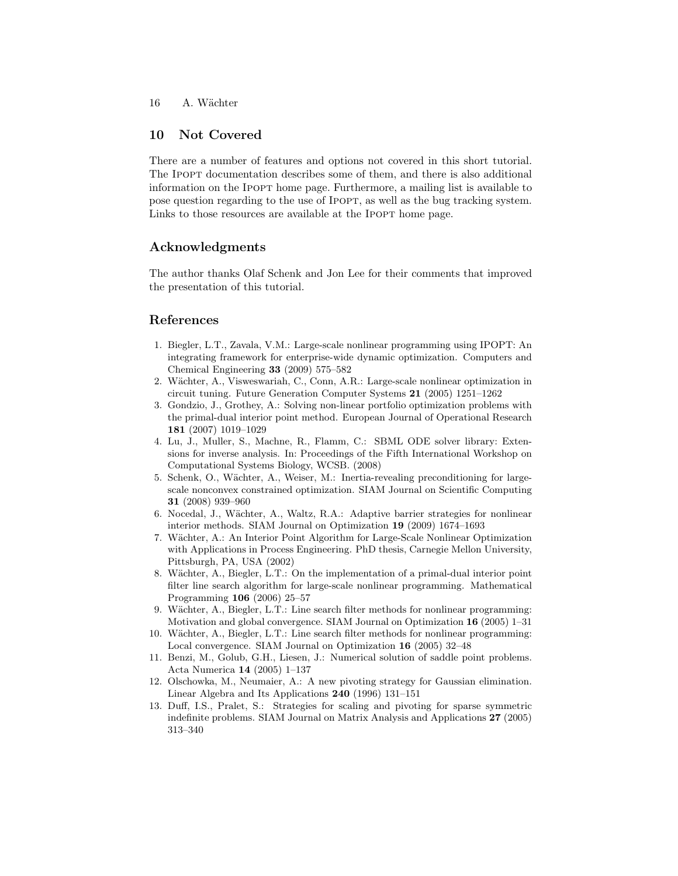## 10 Not Covered

There are a number of features and options not covered in this short tutorial. The Ipopt documentation describes some of them, and there is also additional information on the Ipopt home page. Furthermore, a mailing list is available to pose question regarding to the use of Ipopt, as well as the bug tracking system. Links to those resources are available at the IPOPT home page.

# Acknowledgments

The author thanks Olaf Schenk and Jon Lee for their comments that improved the presentation of this tutorial.

## References

- <span id="page-15-0"></span>1. Biegler, L.T., Zavala, V.M.: Large-scale nonlinear programming using IPOPT: An integrating framework for enterprise-wide dynamic optimization. Computers and Chemical Engineering 33 (2009) 575–582
- <span id="page-15-1"></span>2. Wächter, A., Visweswariah, C., Conn, A.R.: Large-scale nonlinear optimization in circuit tuning. Future Generation Computer Systems 21 (2005) 1251–1262
- <span id="page-15-2"></span>3. Gondzio, J., Grothey, A.: Solving non-linear portfolio optimization problems with the primal-dual interior point method. European Journal of Operational Research 181 (2007) 1019–1029
- <span id="page-15-3"></span>4. Lu, J., Muller, S., Machne, R., Flamm, C.: SBML ODE solver library: Extensions for inverse analysis. In: Proceedings of the Fifth International Workshop on Computational Systems Biology, WCSB. (2008)
- <span id="page-15-4"></span>5. Schenk, O., Wächter, A., Weiser, M.: Inertia-revealing preconditioning for largescale nonconvex constrained optimization. SIAM Journal on Scientific Computing 31 (2008) 939–960
- <span id="page-15-5"></span>6. Nocedal, J., W¨achter, A., Waltz, R.A.: Adaptive barrier strategies for nonlinear interior methods. SIAM Journal on Optimization 19 (2009) 1674–1693
- <span id="page-15-6"></span>7. W¨achter, A.: An Interior Point Algorithm for Large-Scale Nonlinear Optimization with Applications in Process Engineering. PhD thesis, Carnegie Mellon University, Pittsburgh, PA, USA (2002)
- <span id="page-15-7"></span>8. Wächter, A., Biegler, L.T.: On the implementation of a primal-dual interior point filter line search algorithm for large-scale nonlinear programming. Mathematical Programming 106 (2006) 25–57
- <span id="page-15-8"></span>9. Wächter, A., Biegler, L.T.: Line search filter methods for nonlinear programming: Motivation and global convergence. SIAM Journal on Optimization 16 (2005) 1–31
- <span id="page-15-9"></span>10. Wächter, A., Biegler, L.T.: Line search filter methods for nonlinear programming: Local convergence. SIAM Journal on Optimization 16 (2005) 32–48
- <span id="page-15-10"></span>11. Benzi, M., Golub, G.H., Liesen, J.: Numerical solution of saddle point problems. Acta Numerica 14 (2005) 1–137
- <span id="page-15-11"></span>12. Olschowka, M., Neumaier, A.: A new pivoting strategy for Gaussian elimination. Linear Algebra and Its Applications 240 (1996) 131–151
- <span id="page-15-12"></span>13. Duff, I.S., Pralet, S.: Strategies for scaling and pivoting for sparse symmetric indefinite problems. SIAM Journal on Matrix Analysis and Applications 27 (2005) 313–340